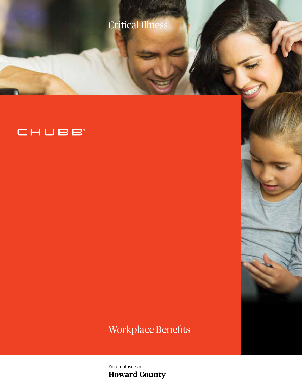

# CHUBB

## Workplace Benefits

For employees of **Howard County**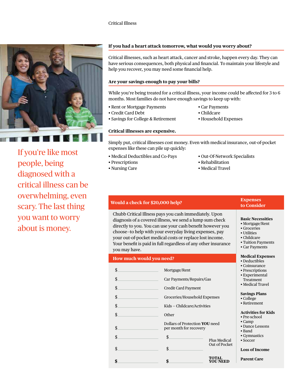

If you're like most people, being diagnosed with a critical illness can be overwhelming, even scary. The last thing you want to worry about is money.

## **If you had a heart attack tomorrow, what would you worry about?**

Critical illnesses, such as heart attack, cancer and stroke, happen every day. They can have serious consequences, both physical and financial. To maintain your lifestyle and help you recover, you may need some financial help.

## **Are your savings enough to pay your bills?**

While you're being treated for a critical illness, your income could be affected for 3 to 6 months. Most families do not have enough savings to keep up with:

- Rent or Mortgage Payments Car Payments
- Credit Card Debt Childcare
- Savings for College & Retirement Household Expenses
- 
- -

## **Critical illnesses are expensive.**

Simply put, critical illnesses cost money. Even with medical insurance, out-of-pocket expenses like these can pile up quickly:

- Medical Deductibles and Co-Pays Out-Of-Network Specialists
- 
- 
- 
- Prescriptions Rehabilitation
- Nursing Care Medical Travel

| Would a check for \$20,000 help? |                                                                                                                                                                                                                                                                                                                                                                          |                                          | <b>Expenses</b><br>to Consider                                                                                                   |  |
|----------------------------------|--------------------------------------------------------------------------------------------------------------------------------------------------------------------------------------------------------------------------------------------------------------------------------------------------------------------------------------------------------------------------|------------------------------------------|----------------------------------------------------------------------------------------------------------------------------------|--|
| you may have.                    | Chubb Critical Illness pays you cash immediately. Upon<br>diagnosis of a covered illness, we send a lump sum check<br>directly to you. You can use your cash benefit however you<br>choose-to help with your everyday living expenses, pay<br>your out-of-pocket medical costs or replace lost income.<br>Your benefit is paid in full regardless of any other insurance |                                          | <b>Basic Necessities</b><br>• Mortgage/Rent<br>• Groceries<br>• Utilities<br>• Childcare<br>• Tuition Payments<br>• Car Payments |  |
| How much would you need?         |                                                                                                                                                                                                                                                                                                                                                                          | <b>Medical Expenses</b><br>• Deductibles |                                                                                                                                  |  |
| \$                               | Mortgage/Rent                                                                                                                                                                                                                                                                                                                                                            |                                          | • Coinsurance<br>• Prescriptions                                                                                                 |  |
| $\boldsymbol{\hat{\zeta}}$       | Car Payments/Repairs/Gas                                                                                                                                                                                                                                                                                                                                                 |                                          | • Experimental<br>Treatment                                                                                                      |  |
| \$                               | <b>Credit Card Payment</b>                                                                                                                                                                                                                                                                                                                                               |                                          | · Medical Travel                                                                                                                 |  |
| \$                               | Groceries/Household Expenses                                                                                                                                                                                                                                                                                                                                             |                                          | <b>Savings Plans</b><br>• College                                                                                                |  |
| \$                               | Kids - Childcare/Activities                                                                                                                                                                                                                                                                                                                                              |                                          | • Retirement                                                                                                                     |  |
| $\boldsymbol{\hat{\zeta}}$       | Other                                                                                                                                                                                                                                                                                                                                                                    |                                          | <b>Activities for Kids</b><br>• Pre-school                                                                                       |  |
| \$                               | Dollars of Protection YOU need<br>per month for recovery                                                                                                                                                                                                                                                                                                                 |                                          | $\bullet$ Camp<br>• Dance Lessons<br>• Band                                                                                      |  |
| \$                               | \$                                                                                                                                                                                                                                                                                                                                                                       | <b>Plus Medical</b>                      | • Gymnastics<br>$\bullet$ Soccer                                                                                                 |  |
| $\frac{1}{2}$                    | $\boldsymbol{\hat{\zeta}}$                                                                                                                                                                                                                                                                                                                                               | Out of Pocket                            | <b>Loss of Income</b>                                                                                                            |  |
|                                  |                                                                                                                                                                                                                                                                                                                                                                          |                                          |                                                                                                                                  |  |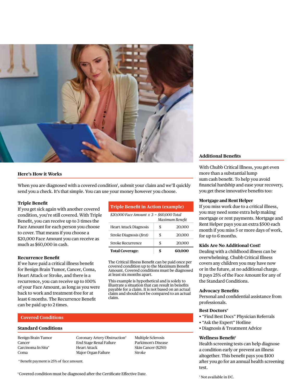

### **Here's How it Works**

When you are diagnosed with a covered condition<sup>1</sup>, submit your claim and we'll quickly send you a check. It's that simple. You can use your money however you choose.

### **Triple Benefit**

If you get sick again with another covered condition, you're still covered. With Triple Benefit, you can receive up to 3 times the Face Amount for each person you choose to cover. That means if you choose a \$20,000 Face Amount you can receive as much as \$60,000 in cash.

#### **Recurrence Benefit**

If we have paid a critical illness benefit for Benign Brain Tumor, Cancer, Coma, Heart Attack or Stroke, and there is a recurrence, you can receive up to 100% of your Face Amount, as long as you were back to work and treatment-free for at least 6 months. The Recurrence Benefit can be paid up to 2 times.

## **Triple Benefit in Action (example)**

| \$20,000 Face Amount $x$ 3 = \$60,000 Total<br>Maximum Benefit |    |        |  |  |
|----------------------------------------------------------------|----|--------|--|--|
|                                                                |    |        |  |  |
| <b>Heart Attack Diagnosis</b>                                  | \$ | 20,000 |  |  |
| Stroke Diagnosis (first)                                       | \$ | 20,000 |  |  |
| <b>Stroke Recurrence</b>                                       | \$ | 20,000 |  |  |
| <b>Total Coverage:</b>                                         | \$ |        |  |  |

The Critical Illness Benefit can be paid once per covered condition up to the Maximum Benefit Amount. Covered conditions must be diagnosed at least six months apart.

This example is hypothetical and is solely to illustrate a situation that can result in benefits payable for a claim. It is not based on an actual claim and should not be compared to an actual claim.

## **Covered Conditions**

#### **Standard Conditions**

Benign Brain Tumor Cancer Carcinoma In Situ\* Coma

Coronary Artery Obstruction\* End Stage Renal Failure Heart Attack Major Organ Failure

Multiple Sclerosis Parkinson's Disease Skin Cancer (\$250) Stroke

## **Additional Benefits**

With Chubb Critical Illness, you get even more than a substantial lump sum cash benefit. To help you avoid financial hardship and ease your recovery, you get these innovative benefits too:

## **Mortgage and Rent Helper**

If you miss work due to a critical illness, you may need some extra help making mortgage or rent payments. Mortgage and Rent Helper pays you an extra \$500 each month if you miss 5 or more days of work, for up to 6 months.

### **Kids Are No Additional Cost!**

Dealing with a childhood illness can be overwhelming. Chubb Critical Illness covers any children you may have now or in the future, at no additional charge. It pays 25% of the Face Amount for any of the Standard Conditions.

#### **Advocacy Benefits**

Personal and confidential assistance from professionals.

#### **Best Doctors®**

- "Find Best Docs" Physician Referrals
- "Ask the Expert" Hotline
- Diagnosis & Treatment Advice

### **Wellness Benefit†**

Health screening tests can help diagnose a condition early or prevent an illness altogether. This benefit pays you \$100 after you go for an annual health screening test.

\* Benefit payment is 25% of face amount.

<sup>1</sup> Covered condition must be diagnosed after the Certificate Effective Date.

† Not available in DC.